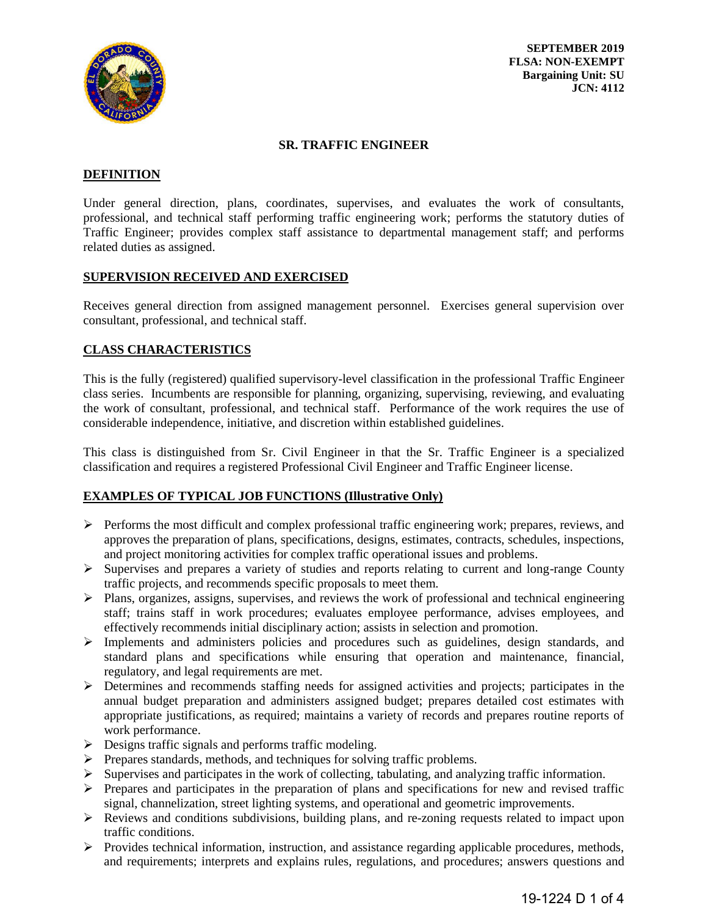

**SEPTEMBER 2019 FLSA: NON-EXEMPT Bargaining Unit: SU JCN: 4112** 

#### **SR. TRAFFIC ENGINEER**

## **DEFINITION**

Under general direction, plans, coordinates, supervises, and evaluates the work of consultants, professional, and technical staff performing traffic engineering work; performs the statutory duties of Traffic Engineer; provides complex staff assistance to departmental management staff; and performs related duties as assigned.

## **SUPERVISION RECEIVED AND EXERCISED**

Receives general direction from assigned management personnel. Exercises general supervision over consultant, professional, and technical staff.

## **CLASS CHARACTERISTICS**

This is the fully (registered) qualified supervisory-level classification in the professional Traffic Engineer class series. Incumbents are responsible for planning, organizing, supervising, reviewing, and evaluating the work of consultant, professional, and technical staff. Performance of the work requires the use of considerable independence, initiative, and discretion within established guidelines.

This class is distinguished from Sr. Civil Engineer in that the Sr. Traffic Engineer is a specialized classification and requires a registered Professional Civil Engineer and Traffic Engineer license.

## **EXAMPLES OF TYPICAL JOB FUNCTIONS (Illustrative Only)**

- $\triangleright$  Performs the most difficult and complex professional traffic engineering work; prepares, reviews, and approves the preparation of plans, specifications, designs, estimates, contracts, schedules, inspections, and project monitoring activities for complex traffic operational issues and problems.
- $\triangleright$  Supervises and prepares a variety of studies and reports relating to current and long-range County traffic projects, and recommends specific proposals to meet them.
- $\triangleright$  Plans, organizes, assigns, supervises, and reviews the work of professional and technical engineering staff; trains staff in work procedures; evaluates employee performance, advises employees, and effectively recommends initial disciplinary action; assists in selection and promotion.
- Implements and administers policies and procedures such as guidelines, design standards, and standard plans and specifications while ensuring that operation and maintenance, financial, regulatory, and legal requirements are met.
- **EXECUTE:** Determines and recommends staffing needs for assigned activities and projects; participates in the annual budget preparation and administers assigned budget; prepares detailed cost estimates with appropriate justifications, as required; maintains a variety of records and prepares routine reports of work performance.
- $\triangleright$  Designs traffic signals and performs traffic modeling.
- $\triangleright$  Prepares standards, methods, and techniques for solving traffic problems.
- $\triangleright$  Supervises and participates in the work of collecting, tabulating, and analyzing traffic information.
- $\triangleright$  Prepares and participates in the preparation of plans and specifications for new and revised traffic signal, channelization, street lighting systems, and operational and geometric improvements.
- Reviews and conditions subdivisions, building plans, and re-zoning requests related to impact upon traffic conditions.
- $\triangleright$  Provides technical information, instruction, and assistance regarding applicable procedures, methods, and requirements; interprets and explains rules, regulations, and procedures; answers questions and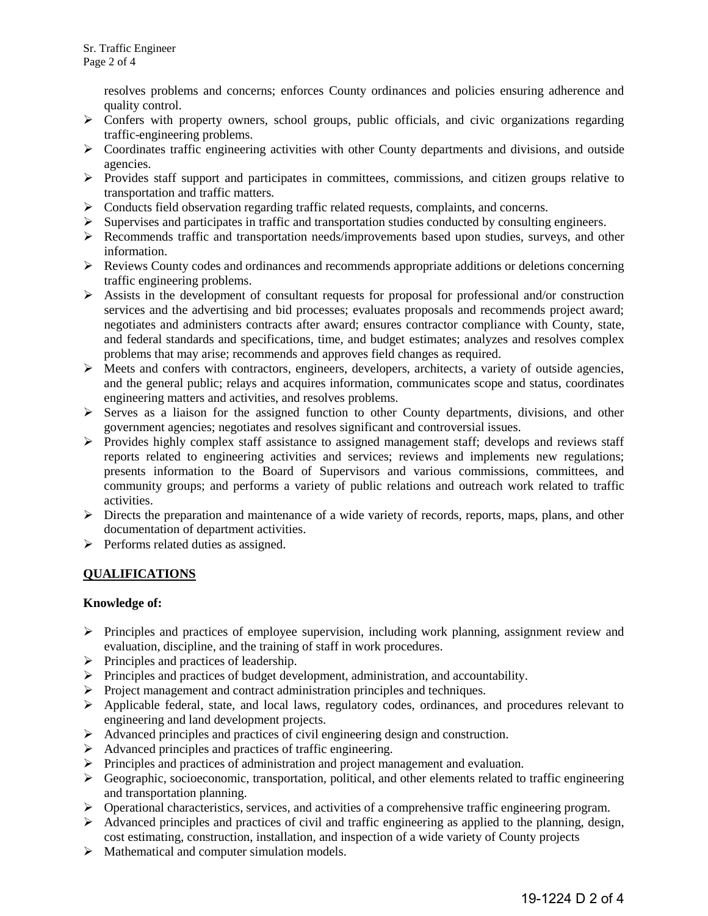resolves problems and concerns; enforces County ordinances and policies ensuring adherence and quality control.

- $\triangleright$  Confers with property owners, school groups, public officials, and civic organizations regarding traffic-engineering problems.
- $\triangleright$  Coordinates traffic engineering activities with other County departments and divisions, and outside agencies.
- Provides staff support and participates in committees, commissions, and citizen groups relative to transportation and traffic matters.
- $\triangleright$  Conducts field observation regarding traffic related requests, complaints, and concerns.
- $\triangleright$  Supervises and participates in traffic and transportation studies conducted by consulting engineers.
- Recommends traffic and transportation needs/improvements based upon studies, surveys, and other information.
- $\triangleright$  Reviews County codes and ordinances and recommends appropriate additions or deletions concerning traffic engineering problems.
- $\triangleright$  Assists in the development of consultant requests for proposal for professional and/or construction services and the advertising and bid processes; evaluates proposals and recommends project award; negotiates and administers contracts after award; ensures contractor compliance with County, state, and federal standards and specifications, time, and budget estimates; analyzes and resolves complex problems that may arise; recommends and approves field changes as required.
- $\triangleright$  Meets and confers with contractors, engineers, developers, architects, a variety of outside agencies, and the general public; relays and acquires information, communicates scope and status, coordinates engineering matters and activities, and resolves problems.
- $\triangleright$  Serves as a liaison for the assigned function to other County departments, divisions, and other government agencies; negotiates and resolves significant and controversial issues.
- $\triangleright$  Provides highly complex staff assistance to assigned management staff; develops and reviews staff reports related to engineering activities and services; reviews and implements new regulations; presents information to the Board of Supervisors and various commissions, committees, and community groups; and performs a variety of public relations and outreach work related to traffic activities.
- $\triangleright$  Directs the preparation and maintenance of a wide variety of records, reports, maps, plans, and other documentation of department activities.
- $\triangleright$  Performs related duties as assigned.

# **QUALIFICATIONS**

## **Knowledge of:**

- $\triangleright$  Principles and practices of employee supervision, including work planning, assignment review and evaluation, discipline, and the training of staff in work procedures.
- $\triangleright$  Principles and practices of leadership.
- $\triangleright$  Principles and practices of budget development, administration, and accountability.
- $\triangleright$  Project management and contract administration principles and techniques.
- $\triangleright$  Applicable federal, state, and local laws, regulatory codes, ordinances, and procedures relevant to engineering and land development projects.
- Advanced principles and practices of civil engineering design and construction.
- Advanced principles and practices of traffic engineering.
- Principles and practices of administration and project management and evaluation.
- $\triangleright$  Geographic, socioeconomic, transportation, political, and other elements related to traffic engineering and transportation planning.
- Operational characteristics, services, and activities of a comprehensive traffic engineering program.
- $\triangleright$  Advanced principles and practices of civil and traffic engineering as applied to the planning, design, cost estimating, construction, installation, and inspection of a wide variety of County projects
- $\triangleright$  Mathematical and computer simulation models.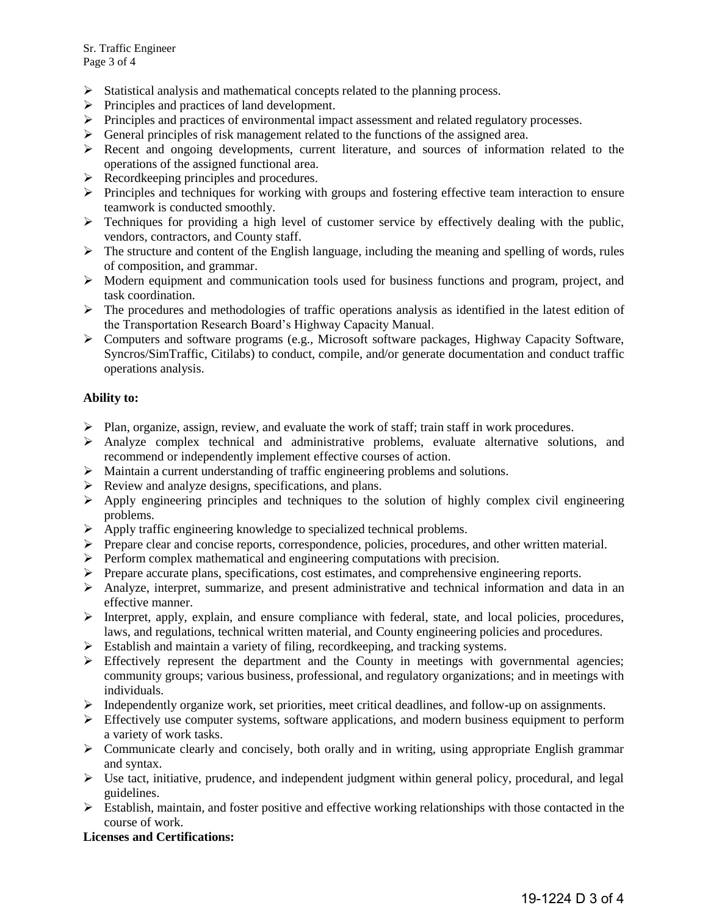- $\triangleright$  Statistical analysis and mathematical concepts related to the planning process.
- $\triangleright$  Principles and practices of land development.
- $\triangleright$  Principles and practices of environmental impact assessment and related regulatory processes.
- $\triangleright$  General principles of risk management related to the functions of the assigned area.
- $\triangleright$  Recent and ongoing developments, current literature, and sources of information related to the operations of the assigned functional area.
- $\triangleright$  Recordkeeping principles and procedures.
- $\triangleright$  Principles and techniques for working with groups and fostering effective team interaction to ensure teamwork is conducted smoothly.
- $\triangleright$  Techniques for providing a high level of customer service by effectively dealing with the public, vendors, contractors, and County staff.
- $\triangleright$  The structure and content of the English language, including the meaning and spelling of words, rules of composition, and grammar.
- $\triangleright$  Modern equipment and communication tools used for business functions and program, project, and task coordination.
- $\triangleright$  The procedures and methodologies of traffic operations analysis as identified in the latest edition of the Transportation Research Board's Highway Capacity Manual.
- $\triangleright$  Computers and software programs (e.g., Microsoft software packages, Highway Capacity Software, Syncros/SimTraffic, Citilabs) to conduct, compile, and/or generate documentation and conduct traffic operations analysis.

## **Ability to:**

- $\triangleright$  Plan, organize, assign, review, and evaluate the work of staff; train staff in work procedures.
- $\triangleright$  Analyze complex technical and administrative problems, evaluate alternative solutions, and recommend or independently implement effective courses of action.
- Maintain a current understanding of traffic engineering problems and solutions.
- $\triangleright$  Review and analyze designs, specifications, and plans.
- $\triangleright$  Apply engineering principles and techniques to the solution of highly complex civil engineering problems.
- $\triangleright$  Apply traffic engineering knowledge to specialized technical problems.
- $\triangleright$  Prepare clear and concise reports, correspondence, policies, procedures, and other written material.
- $\triangleright$  Perform complex mathematical and engineering computations with precision.
- $\triangleright$  Prepare accurate plans, specifications, cost estimates, and comprehensive engineering reports.
- $\triangleright$  Analyze, interpret, summarize, and present administrative and technical information and data in an effective manner.
- Interpret, apply, explain, and ensure compliance with federal, state, and local policies, procedures, laws, and regulations, technical written material, and County engineering policies and procedures.
- Establish and maintain a variety of filing, recordkeeping, and tracking systems.
- $\triangleright$  Effectively represent the department and the County in meetings with governmental agencies; community groups; various business, professional, and regulatory organizations; and in meetings with individuals.
- $\triangleright$  Independently organize work, set priorities, meet critical deadlines, and follow-up on assignments.
- Effectively use computer systems, software applications, and modern business equipment to perform a variety of work tasks.
- $\triangleright$  Communicate clearly and concisely, both orally and in writing, using appropriate English grammar and syntax.
- $\triangleright$  Use tact, initiative, prudence, and independent judgment within general policy, procedural, and legal guidelines.
- $\triangleright$  Establish, maintain, and foster positive and effective working relationships with those contacted in the course of work.

## **Licenses and Certifications:**